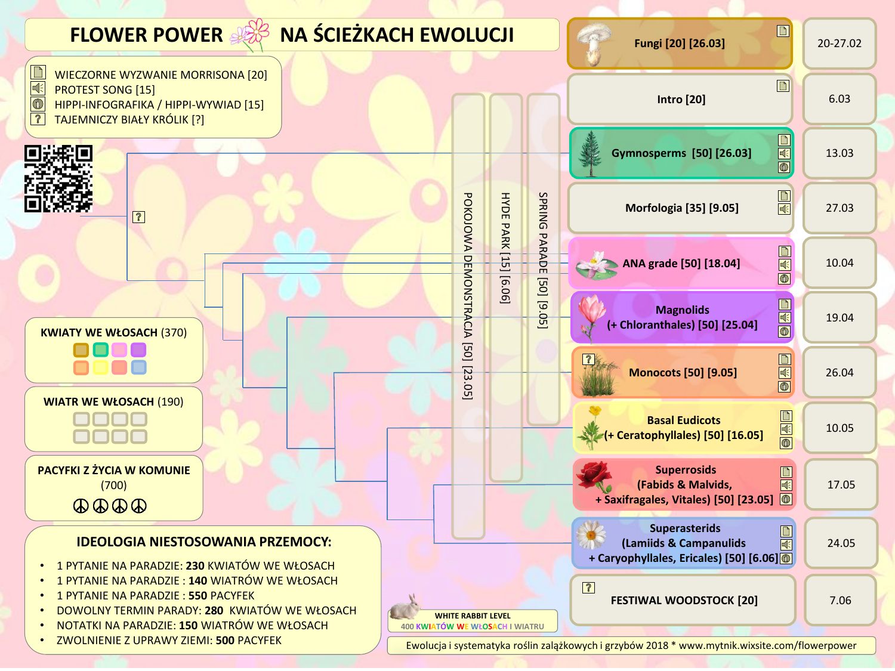